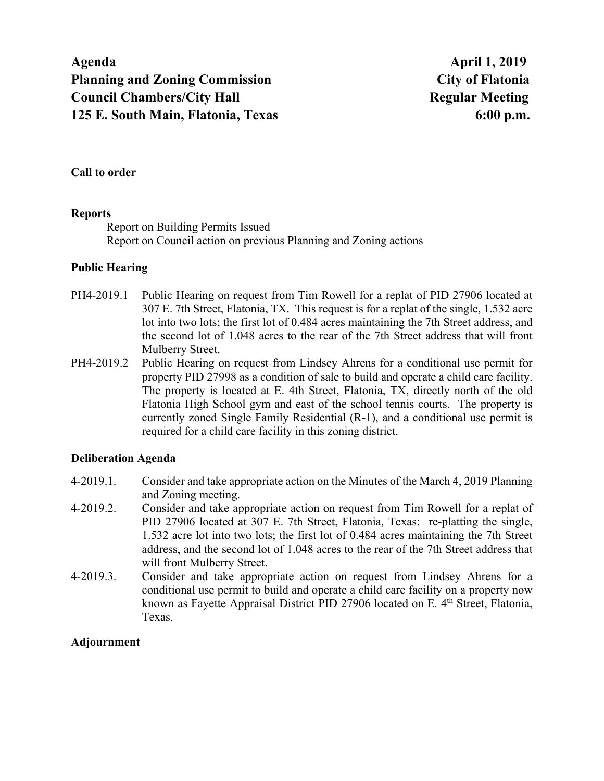**Agenda April 1, 2019 Planning and Zoning Commission City of Flatonia Council Chambers/City Hall Server Accouncil Chambers/City Hall Regular Meeting Regular Meeting 125 E. South Main, Flatonia, Texas 6:00 p.m.** 

### **Call to order**

#### **Reports**

Report on Building Permits Issued Report on Council action on previous Planning and Zoning actions

## **Public Hearing**

- PH4-2019.1 Public Hearing on request from Tim Rowell for a replat of PID 27906 located at 307 E. 7th Street, Flatonia, TX. This request is for a replat of the single, 1.532 acre lot into two lots; the first lot of 0.484 acres maintaining the 7th Street address, and the second lot of 1.048 acres to the rear of the 7th Street address that will front Mulberry Street.
- PH4-2019.2 Public Hearing on request from Lindsey Ahrens for a conditional use permit for property PID 27998 as a condition of sale to build and operate a child care facility. The property is located at E. 4th Street, Flatonia, TX, directly north of the old Flatonia High School gym and east of the school tennis courts. The property is currently zoned Single Family Residential (R-1), and a conditional use permit is required for a child care facility in this zoning district.

#### **Deliberation Agenda**

- 4-2019.1. Consider and take appropriate action on the Minutes of the March 4, 2019 Planning and Zoning meeting.
- 4-2019.2. Consider and take appropriate action on request from Tim Rowell for a replat of PID 27906 located at 307 E. 7th Street, Flatonia, Texas: re-platting the single, 1.532 acre lot into two lots; the first lot of 0.484 acres maintaining the 7th Street address, and the second lot of 1.048 acres to the rear of the 7th Street address that will front Mulberry Street.
- 4-2019.3. Consider and take appropriate action on request from Lindsey Ahrens for a conditional use permit to build and operate a child care facility on a property now known as Fayette Appraisal District PID 27906 located on E. 4<sup>th</sup> Street, Flatonia, Texas.

#### **Adjournment**